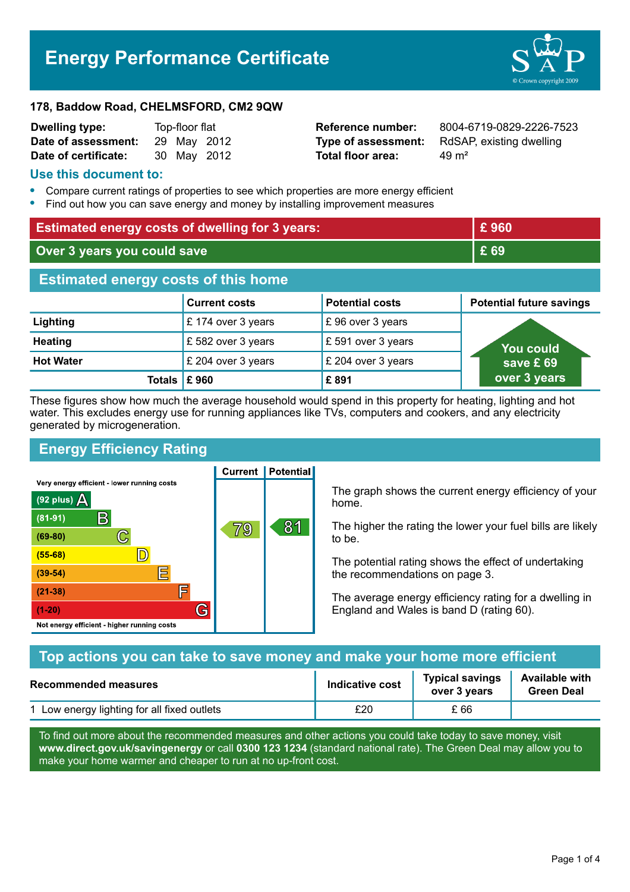# **Energy Performance Certificate**



#### **178, Baddow Road, CHELMSFORD, CM2 9QW**

| <b>Dwelling type:</b> | Top-floor flat |  |             |
|-----------------------|----------------|--|-------------|
| Date of assessment:   |                |  | 29 May 2012 |
| Date of certificate:  |                |  | 30 May 2012 |

**Total floor area:**  $49 \text{ m}^2$ 

**Reference number:** 8004-6719-0829-2226-7523 **Type of assessment:** RdSAP, existing dwelling

#### **Use this document to:**

- **•** Compare current ratings of properties to see which properties are more energy efficient
- **•** Find out how you can save energy and money by installing improvement measures

| <b>Estimated energy costs of dwelling for 3 years:</b> |                      |                        | £960                            |  |
|--------------------------------------------------------|----------------------|------------------------|---------------------------------|--|
| Over 3 years you could save                            |                      | £ 69                   |                                 |  |
| <b>Estimated energy costs of this home</b>             |                      |                        |                                 |  |
|                                                        | <b>Current costs</b> | <b>Potential costs</b> | <b>Potential future savings</b> |  |
| Lighting                                               | £174 over 3 years    | £96 over 3 years       |                                 |  |
| <b>Heating</b>                                         | £582 over 3 years    | £ 591 over 3 years     | You could                       |  |
| <b>Hot Water</b>                                       | £ 204 over 3 years   | £ 204 over 3 years     | save £69                        |  |
| Totals $\mathsf E$ 960                                 |                      | £891                   | over 3 years                    |  |

These figures show how much the average household would spend in this property for heating, lighting and hot water. This excludes energy use for running appliances like TVs, computers and cookers, and any electricity generated by microgeneration.

**Current | Potential** 

# **Energy Efficiency Rating**

Very energy efficient - lower running costs



The graph shows the current energy efficiency of your home.

The higher the rating the lower your fuel bills are likely to be.

The potential rating shows the effect of undertaking the recommendations on page 3.

The average energy efficiency rating for a dwelling in England and Wales is band D (rating 60).

| Top actions you can take to save money and make your home more efficient |                 |                                        |                                            |
|--------------------------------------------------------------------------|-----------------|----------------------------------------|--------------------------------------------|
| <b>Recommended measures</b>                                              | Indicative cost | <b>Typical savings</b><br>over 3 years | <b>Available with</b><br><b>Green Deal</b> |
| 1 Low energy lighting for all fixed outlets                              | £20             | £ 66                                   |                                            |

To find out more about the recommended measures and other actions you could take today to save money, visit **www.direct.gov.uk/savingenergy** or call **0300 123 1234** (standard national rate). The Green Deal may allow you to make your home warmer and cheaper to run at no up-front cost.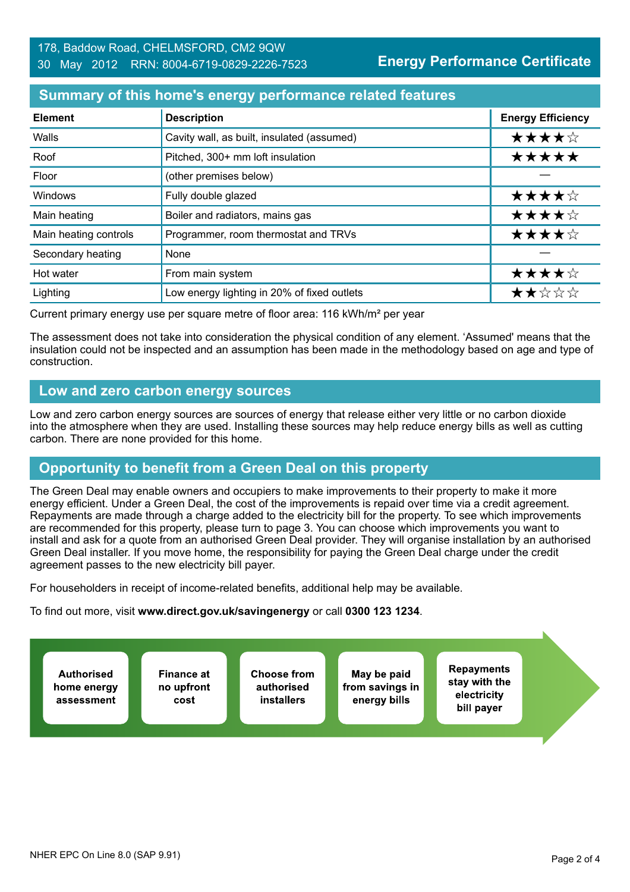# **Summary of this home's energy performance related features**

| <b>Element</b>        | <b>Description</b>                          | <b>Energy Efficiency</b> |
|-----------------------|---------------------------------------------|--------------------------|
| Walls                 | Cavity wall, as built, insulated (assumed)  | ★★★★☆                    |
| Roof                  | Pitched, 300+ mm loft insulation            | *****                    |
| Floor                 | (other premises below)                      |                          |
| Windows               | Fully double glazed                         | ★★★★☆                    |
| Main heating          | Boiler and radiators, mains gas             | ★★★★☆                    |
| Main heating controls | Programmer, room thermostat and TRVs        | ★★★★☆                    |
| Secondary heating     | None                                        |                          |
| Hot water             | From main system                            | ★★★★☆                    |
| Lighting              | Low energy lighting in 20% of fixed outlets | ★★☆☆☆                    |

Current primary energy use per square metre of floor area: 116 kWh/m² per year

The assessment does not take into consideration the physical condition of any element. 'Assumed' means that the insulation could not be inspected and an assumption has been made in the methodology based on age and type of construction.

#### **Low and zero carbon energy sources**

Low and zero carbon energy sources are sources of energy that release either very little or no carbon dioxide into the atmosphere when they are used. Installing these sources may help reduce energy bills as well as cutting carbon. There are none provided for this home.

# **Opportunity to benefit from a Green Deal on this property**

The Green Deal may enable owners and occupiers to make improvements to their property to make it more energy efficient. Under a Green Deal, the cost of the improvements is repaid over time via a credit agreement. Repayments are made through a charge added to the electricity bill for the property. To see which improvements are recommended for this property, please turn to page 3. You can choose which improvements you want to install and ask for a quote from an authorised Green Deal provider. They will organise installation by an authorised Green Deal installer. If you move home, the responsibility for paying the Green Deal charge under the credit agreement passes to the new electricity bill payer.

For householders in receipt of income-related benefits, additional help may be available.

To find out more, visit **www.direct.gov.uk/savingenergy** or call **0300 123 1234**.

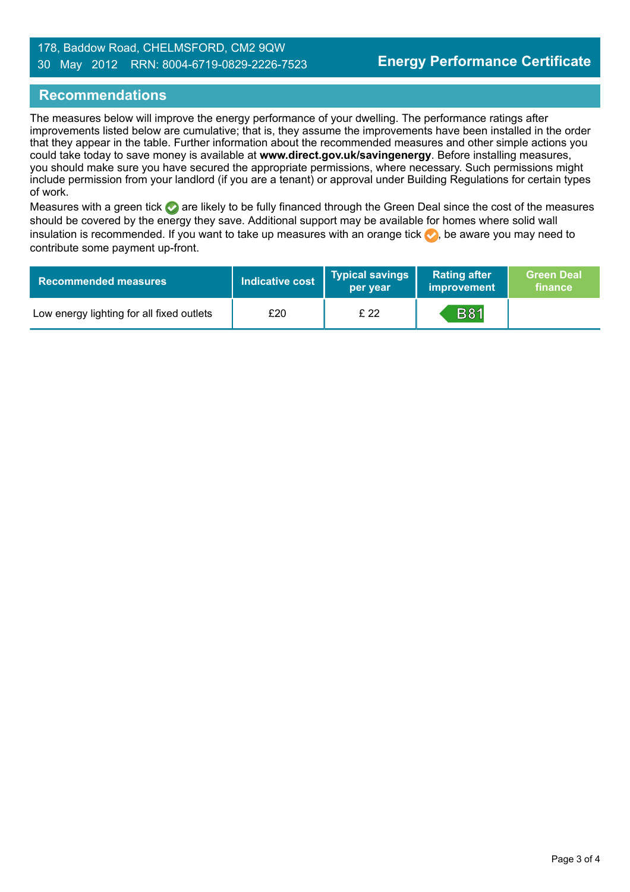#### 178, Baddow Road, CHELMSFORD, CM2 9QW 30 May 2012 RRN: 8004-6719-0829-2226-7523

#### **Recommendations**

The measures below will improve the energy performance of your dwelling. The performance ratings after improvements listed below are cumulative; that is, they assume the improvements have been installed in the order that they appear in the table. Further information about the recommended measures and other simple actions you could take today to save money is available at **www.direct.gov.uk/savingenergy**. Before installing measures, you should make sure you have secured the appropriate permissions, where necessary. Such permissions might include permission from your landlord (if you are a tenant) or approval under Building Regulations for certain types of work.

Measures with a green tick are likely to be fully financed through the Green Deal since the cost of the measures should be covered by the energy they save. Additional support may be available for homes where solid wall insulation is recommended. If you want to take up measures with an orange tick  $\blacklozenge$ , be aware you may need to contribute some payment up-front.

| <b>Recommended measures</b>               | Indicative cost | Typical savings<br>per year | <b>Rating after</b><br>improvement | <b>Green Deal</b><br>finance |
|-------------------------------------------|-----------------|-----------------------------|------------------------------------|------------------------------|
| Low energy lighting for all fixed outlets | £20             | £22                         | <b>B81</b>                         |                              |